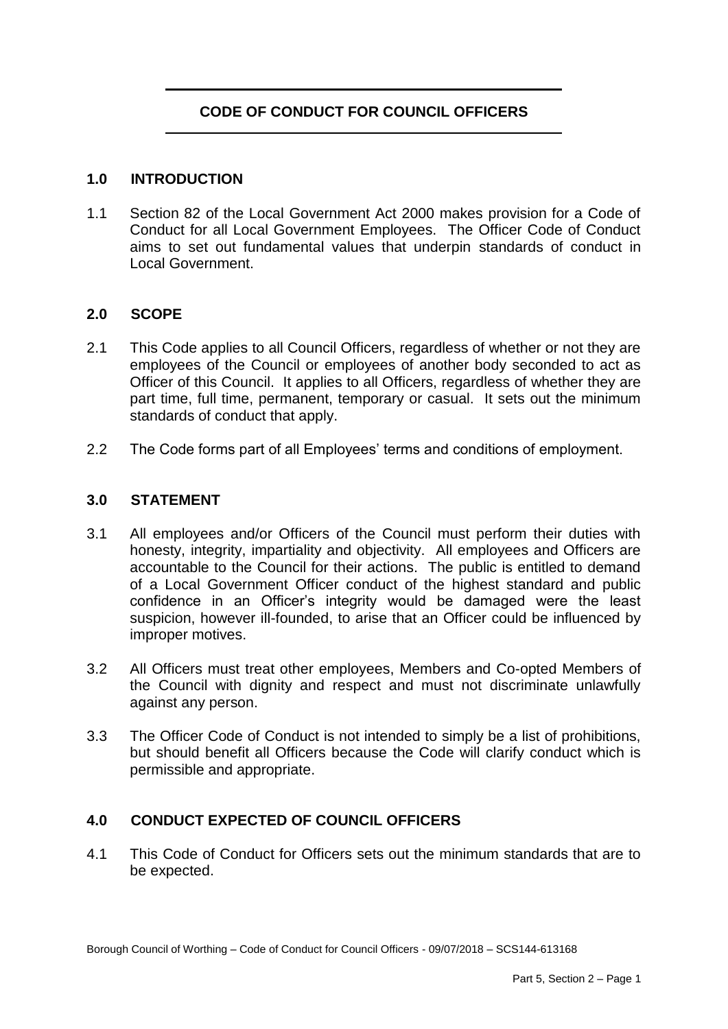# **CODE OF CONDUCT FOR COUNCIL OFFICERS**

#### **1.0 INTRODUCTION**

 $1.1$  Conduct for all Local Government Employees. The Officer Code of Conduct Section 82 of the Local Government Act 2000 makes provision for a Code of aims to set out fundamental values that underpin standards of conduct in Local Government.

### **2.0 SCOPE**

- 2.1 This Code applies to all Council Officers, regardless of whether or not they are employees of the Council or employees of another body seconded to act as Officer of this Council. It applies to all Officers, regardless of whether they are part time, full time, permanent, temporary or casual. It sets out the minimum standards of conduct that apply.
- 2.2 The Code forms part of all Employees' terms and conditions of employment.

#### **3.0 STATEMENT**

- $3.1$  honesty, integrity, impartiality and objectivity. All employees and Officers are accountable to the Council for their actions. The public is entitled to demand of a Local Government Officer conduct of the highest standard and public confidence in an Officer's integrity would be damaged were the least suspicion, however ill-founded, to arise that an Officer could be influenced by All employees and/or Officers of the Council must perform their duties with improper motives.
- $3.2$  the Council with dignity and respect and must not discriminate unlawfully All Officers must treat other employees, Members and Co-opted Members of against any person.
- $3.3$  but should benefit all Officers because the Code will clarify conduct which is The Officer Code of Conduct is not intended to simply be a list of prohibitions, permissible and appropriate.

#### **4.0 CONDUCT EXPECTED OF COUNCIL OFFICERS**

 4.1 This Code of Conduct for Officers sets out the minimum standards that are to be expected.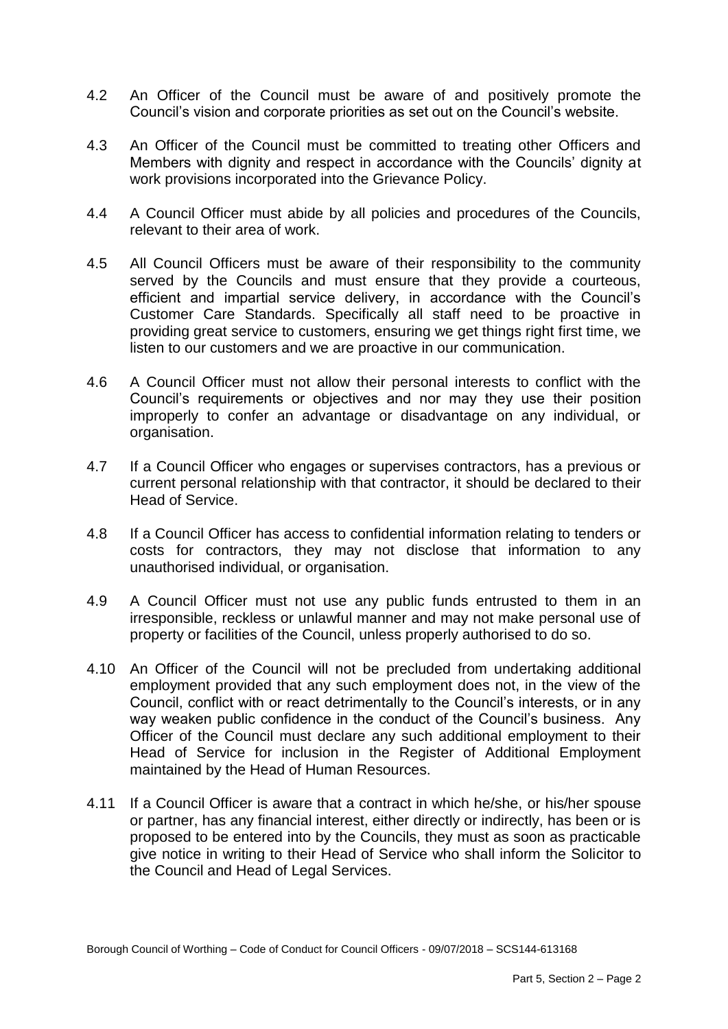- $4.2$ An Officer of the Council must be aware of and positively promote the Council's vision and corporate priorities as set out on the Council's website.
- $4.3$  Members with dignity and respect in accordance with the Councils' dignity at An Officer of the Council must be committed to treating other Officers and work provisions incorporated into the Grievance Policy.
- $4.4$ 4.4 A Council Officer must abide by all policies and procedures of the Councils, relevant to their area of work.
- $4.5$  served by the Councils and must ensure that they provide a courteous, efficient and impartial service delivery, in accordance with the Council's Customer Care Standards. Specifically all staff need to be proactive in providing great service to customers, ensuring we get things right first time, we All Council Officers must be aware of their responsibility to the community listen to our customers and we are proactive in our communication.
- $4.6$  Council's requirements or objectives and nor may they use their position improperly to confer an advantage or disadvantage on any individual, or 4.6 A Council Officer must not allow their personal interests to conflict with the organisation.
- 47 current personal relationship with that contractor, it should be declared to their 4.7 If a Council Officer who engages or supervises contractors, has a previous or Head of Service.
- 4.8 costs for contractors, they may not disclose that information to any If a Council Officer has access to confidential information relating to tenders or unauthorised individual, or organisation.
- 4.9 irresponsible, reckless or unlawful manner and may not make personal use of property or facilities of the Council, unless properly authorised to do so. A Council Officer must not use any public funds entrusted to them in an
- 4.10 An Officer of the Council will not be precluded from undertaking additional employment provided that any such employment does not, in the view of the Council, conflict with or react detrimentally to the Council's interests, or in any way weaken public confidence in the conduct of the Council's business. Any Officer of the Council must declare any such additional employment to their Head of Service for inclusion in the Register of Additional Employment maintained by the Head of Human Resources.
- 4.11 If a Council Officer is aware that a contract in which he/she, or his/her spouse or partner, has any financial interest, either directly or indirectly, has been or is proposed to be entered into by the Councils, they must as soon as practicable give notice in writing to their Head of Service who shall inform the Solicitor to the Council and Head of Legal Services.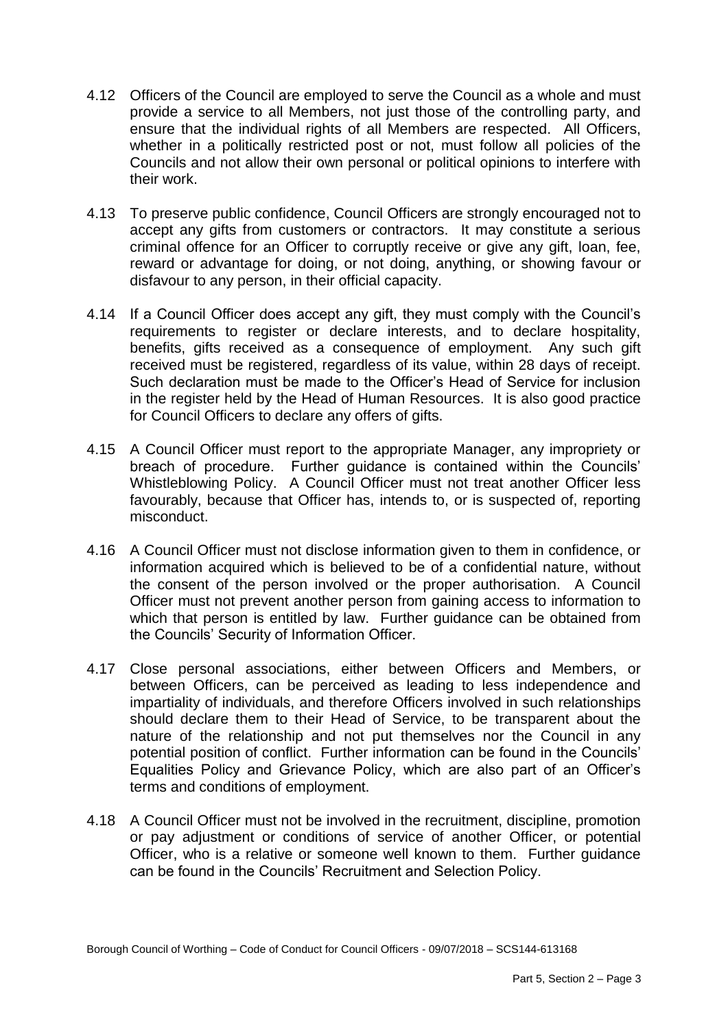- provide a service to all Members, not just those of the controlling party, and ensure that the individual rights of all Members are respected. All Officers, whether in a politically restricted post or not, must follow all policies of the Councils and not allow their own personal or political opinions to interfere with 4.12 Officers of the Council are employed to serve the Council as a whole and must their work.
- accept any gifts from customers or contractors. It may constitute a serious criminal offence for an Officer to corruptly receive or give any gift, loan, fee, reward or advantage for doing, or not doing, anything, or showing favour or 4.13 To preserve public confidence, Council Officers are strongly encouraged not to disfavour to any person, in their official capacity.
- 4.14 If a Council Officer does accept any gift, they must comply with the Council's requirements to register or declare interests, and to declare hospitality, benefits, gifts received as a consequence of employment. Any such gift received must be registered, regardless of its value, within 28 days of receipt. Such declaration must be made to the Officer's Head of Service for inclusion in the register held by the Head of Human Resources. It is also good practice for Council Officers to declare any offers of gifts.
- 4.15 A Council Officer must report to the appropriate Manager, any impropriety or breach of procedure. Further guidance is contained within the Councils' Whistleblowing Policy. A Council Officer must not treat another Officer less favourably, because that Officer has, intends to, or is suspected of, reporting misconduct.
- 4.16 A Council Officer must not disclose information given to them in confidence, or information acquired which is believed to be of a confidential nature, without the consent of the person involved or the proper authorisation. A Council Officer must not prevent another person from gaining access to information to which that person is entitled by law. Further guidance can be obtained from the Councils' Security of Information Officer.
- 4.17 Close personal associations, either between Officers and Members, or between Officers, can be perceived as leading to less independence and impartiality of individuals, and therefore Officers involved in such relationships should declare them to their Head of Service, to be transparent about the nature of the relationship and not put themselves nor the Council in any potential position of conflict. Further information can be found in the Councils' Equalities Policy and Grievance Policy, which are also part of an Officer's terms and conditions of employment.
- 4.18 A Council Officer must not be involved in the recruitment, discipline, promotion or pay adjustment or conditions of service of another Officer, or potential Officer, who is a relative or someone well known to them. Further guidance can be found in the Councils' Recruitment and Selection Policy.